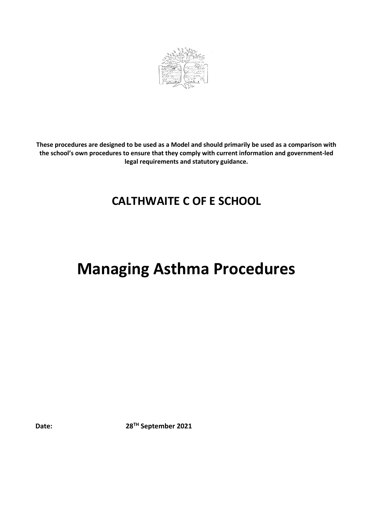

**These procedures are designed to be used as a Model and should primarily be used as a comparison with the school's own procedures to ensure that they comply with current information and government-led legal requirements and statutory guidance.**

# **CALTHWAITE C OF E SCHOOL**

# **Managing Asthma Procedures**

**Date: 28TH September 2021**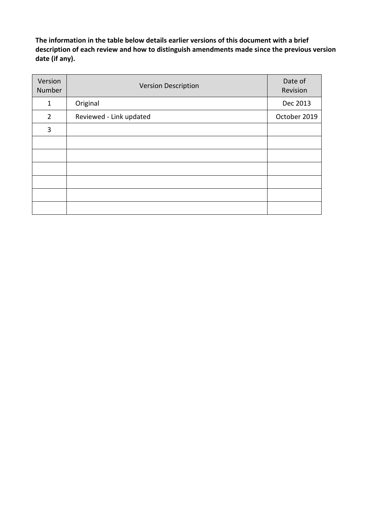**The information in the table below details earlier versions of this document with a brief description of each review and how to distinguish amendments made since the previous version date (if any).**

| Version<br>Number | <b>Version Description</b> | Date of<br>Revision |
|-------------------|----------------------------|---------------------|
| $\mathbf 1$       | Original                   | Dec 2013            |
| $\overline{2}$    | Reviewed - Link updated    | October 2019        |
| 3                 |                            |                     |
|                   |                            |                     |
|                   |                            |                     |
|                   |                            |                     |
|                   |                            |                     |
|                   |                            |                     |
|                   |                            |                     |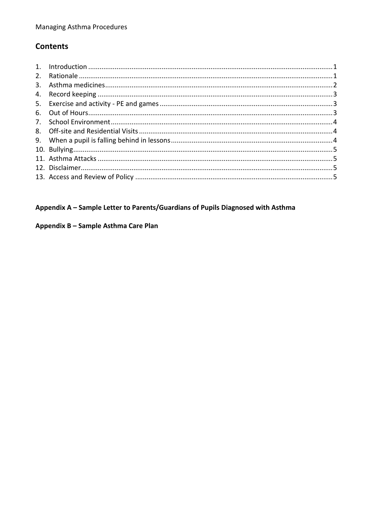# **Contents**

| 2. |  |
|----|--|
| 3. |  |
|    |  |
|    |  |
|    |  |
|    |  |
|    |  |
|    |  |
|    |  |
|    |  |
|    |  |
|    |  |

# Appendix A - Sample Letter to Parents/Guardians of Pupils Diagnosed with Asthma

#### Appendix B - Sample Asthma Care Plan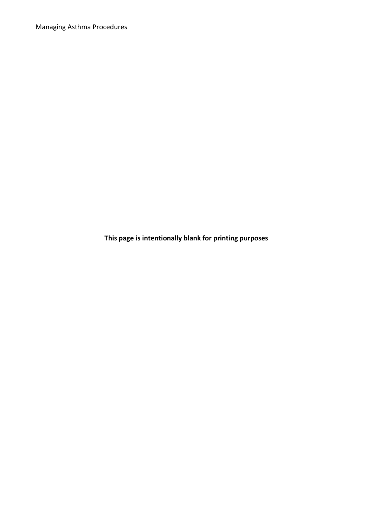Managing Asthma Procedures

**This page is intentionally blank for printing purposes**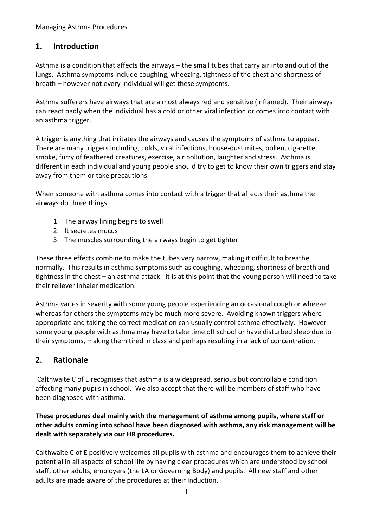#### <span id="page-4-0"></span>**1. Introduction**

Asthma is a condition that affects the airways – the small tubes that carry air into and out of the lungs. Asthma symptoms include coughing, wheezing, tightness of the chest and shortness of breath – however not every individual will get these symptoms.

Asthma sufferers have airways that are almost always red and sensitive (inflamed). Their airways can react badly when the individual has a cold or other viral infection or comes into contact with an asthma trigger.

A trigger is anything that irritates the airways and causes the symptoms of asthma to appear. There are many triggers including, colds, viral infections, house-dust mites, pollen, cigarette smoke, furry of feathered creatures, exercise, air pollution, laughter and stress. Asthma is different in each individual and young people should try to get to know their own triggers and stay away from them or take precautions.

When someone with asthma comes into contact with a trigger that affects their asthma the airways do three things.

- 1. The airway lining begins to swell
- 2. It secretes mucus
- 3. The muscles surrounding the airways begin to get tighter

These three effects combine to make the tubes very narrow, making it difficult to breathe normally. This results in asthma symptoms such as coughing, wheezing, shortness of breath and tightness in the chest – an asthma attack. It is at this point that the young person will need to take their reliever inhaler medication.

Asthma varies in severity with some young people experiencing an occasional cough or wheeze whereas for others the symptoms may be much more severe. Avoiding known triggers where appropriate and taking the correct medication can usually control asthma effectively. However some young people with asthma may have to take time off school or have disturbed sleep due to their symptoms, making them tired in class and perhaps resulting in a lack of concentration.

### <span id="page-4-1"></span>**2. Rationale**

Calthwaite C of E recognises that asthma is a widespread, serious but controllable condition affecting many pupils in school. We also accept that there will be members of staff who have been diagnosed with asthma.

#### **These procedures deal mainly with the management of asthma among pupils, where staff or other adults coming into school have been diagnosed with asthma, any risk management will be dealt with separately via our HR procedures.**

Calthwaite C of E positively welcomes all pupils with asthma and encourages them to achieve their potential in all aspects of school life by having clear procedures which are understood by school staff, other adults, employers (the LA or Governing Body) and pupils. All new staff and other adults are made aware of the procedures at their Induction.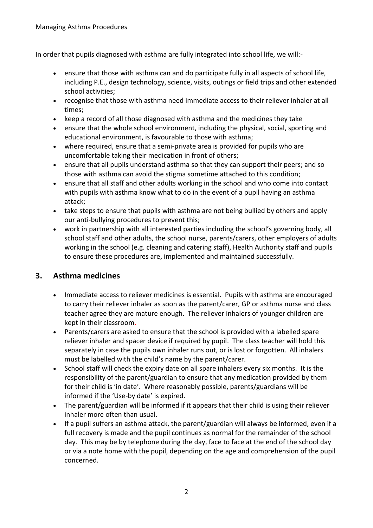In order that pupils diagnosed with asthma are fully integrated into school life, we will:-

- ensure that those with asthma can and do participate fully in all aspects of school life, including P.E., design technology, science, visits, outings or field trips and other extended school activities;
- recognise that those with asthma need immediate access to their reliever inhaler at all times;
- keep a record of all those diagnosed with asthma and the medicines they take
- ensure that the whole school environment, including the physical, social, sporting and educational environment, is favourable to those with asthma;
- where required, ensure that a semi-private area is provided for pupils who are uncomfortable taking their medication in front of others;
- ensure that all pupils understand asthma so that they can support their peers; and so those with asthma can avoid the stigma sometime attached to this condition;
- ensure that all staff and other adults working in the school and who come into contact with pupils with asthma know what to do in the event of a pupil having an asthma attack;
- take steps to ensure that pupils with asthma are not being bullied by others and apply our anti-bullying procedures to prevent this;
- work in partnership with all interested parties including the school's governing body, all school staff and other adults, the school nurse, parents/carers, other employers of adults working in the school (e.g. cleaning and catering staff), Health Authority staff and pupils to ensure these procedures are, implemented and maintained successfully.

### <span id="page-5-0"></span>**3. Asthma medicines**

- Immediate access to reliever medicines is essential. Pupils with asthma are encouraged to carry their reliever inhaler as soon as the parent/carer, GP or asthma nurse and class teacher agree they are mature enough. The reliever inhalers of younger children are kept in their classroom.
- Parents/carers are asked to ensure that the school is provided with a labelled spare reliever inhaler and spacer device if required by pupil. The class teacher will hold this separately in case the pupils own inhaler runs out, or is lost or forgotten. All inhalers must be labelled with the child's name by the parent/carer.
- School staff will check the expiry date on all spare inhalers every six months. It is the responsibility of the parent/guardian to ensure that any medication provided by them for their child is 'in date'. Where reasonably possible, parents/guardians will be informed if the 'Use-by date' is expired.
- The parent/guardian will be informed if it appears that their child is using their reliever inhaler more often than usual.
- If a pupil suffers an asthma attack, the parent/guardian will always be informed, even if a full recovery is made and the pupil continues as normal for the remainder of the school day. This may be by telephone during the day, face to face at the end of the school day or via a note home with the pupil, depending on the age and comprehension of the pupil concerned.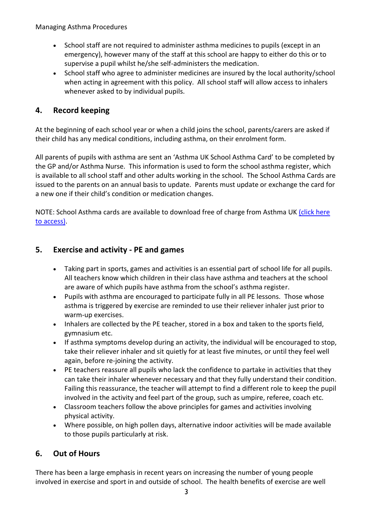- School staff are not required to administer asthma medicines to pupils (except in an emergency), however many of the staff at this school are happy to either do this or to supervise a pupil whilst he/she self-administers the medication.
- School staff who agree to administer medicines are insured by the local authority/school when acting in agreement with this policy. All school staff will allow access to inhalers whenever asked to by individual pupils.

# <span id="page-6-0"></span>**4. Record keeping**

At the beginning of each school year or when a child joins the school, parents/carers are asked if their child has any medical conditions, including asthma, on their enrolment form.

All parents of pupils with asthma are sent an 'Asthma UK School Asthma Card' to be completed by the GP and/or Asthma Nurse. This information is used to form the school asthma register, which is available to all school staff and other adults working in the school. The School Asthma Cards are issued to the parents on an annual basis to update. Parents must update or exchange the card for a new one if their child's condition or medication changes.

NOTE: School Asthma cards are available to download free of charge from Asthma UK (click here [to access\).](https://www.asthma.org.uk/globalassets/health-advice/resources/schools/school_asthma_card_september_2014_ver_b.pdf)

### <span id="page-6-1"></span>**5. Exercise and activity - PE and games**

- Taking part in sports, games and activities is an essential part of school life for all pupils. All teachers know which children in their class have asthma and teachers at the school are aware of which pupils have asthma from the school's asthma register.
- Pupils with asthma are encouraged to participate fully in all PE lessons. Those whose asthma is triggered by exercise are reminded to use their reliever inhaler just prior to warm-up exercises.
- Inhalers are collected by the PE teacher, stored in a box and taken to the sports field, gymnasium etc.
- If asthma symptoms develop during an activity, the individual will be encouraged to stop, take their reliever inhaler and sit quietly for at least five minutes, or until they feel well again, before re-joining the activity.
- PE teachers reassure all pupils who lack the confidence to partake in activities that they can take their inhaler whenever necessary and that they fully understand their condition. Failing this reassurance, the teacher will attempt to find a different role to keep the pupil involved in the activity and feel part of the group, such as umpire, referee, coach etc.
- Classroom teachers follow the above principles for games and activities involving physical activity.
- Where possible, on high pollen days, alternative indoor activities will be made available to those pupils particularly at risk.

### <span id="page-6-2"></span>**6. Out of Hours**

There has been a large emphasis in recent years on increasing the number of young people involved in exercise and sport in and outside of school. The health benefits of exercise are well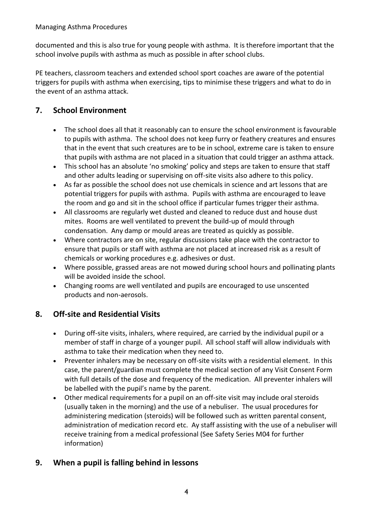documented and this is also true for young people with asthma. It is therefore important that the school involve pupils with asthma as much as possible in after school clubs.

PE teachers, classroom teachers and extended school sport coaches are aware of the potential triggers for pupils with asthma when exercising, tips to minimise these triggers and what to do in the event of an asthma attack.

# <span id="page-7-0"></span>**7. School Environment**

- The school does all that it reasonably can to ensure the school environment is favourable to pupils with asthma. The school does not keep furry or feathery creatures and ensures that in the event that such creatures are to be in school, extreme care is taken to ensure that pupils with asthma are not placed in a situation that could trigger an asthma attack.
- This school has an absolute 'no smoking' policy and steps are taken to ensure that staff and other adults leading or supervising on off-site visits also adhere to this policy.
- As far as possible the school does not use chemicals in science and art lessons that are potential triggers for pupils with asthma. Pupils with asthma are encouraged to leave the room and go and sit in the school office if particular fumes trigger their asthma.
- All classrooms are regularly wet dusted and cleaned to reduce dust and house dust mites. Rooms are well ventilated to prevent the build-up of mould through condensation. Any damp or mould areas are treated as quickly as possible.
- Where contractors are on site, regular discussions take place with the contractor to ensure that pupils or staff with asthma are not placed at increased risk as a result of chemicals or working procedures e.g. adhesives or dust.
- Where possible, grassed areas are not mowed during school hours and pollinating plants will be avoided inside the school.
- Changing rooms are well ventilated and pupils are encouraged to use unscented products and non-aerosols.

### <span id="page-7-1"></span>**8. Off-site and Residential Visits**

- During off-site visits, inhalers, where required, are carried by the individual pupil or a member of staff in charge of a younger pupil. All school staff will allow individuals with asthma to take their medication when they need to.
- Preventer inhalers may be necessary on off-site visits with a residential element. In this case, the parent/guardian must complete the medical section of any Visit Consent Form with full details of the dose and frequency of the medication. All preventer inhalers will be labelled with the pupil's name by the parent.
- Other medical requirements for a pupil on an off-site visit may include oral steroids (usually taken in the morning) and the use of a nebuliser. The usual procedures for administering medication (steroids) will be followed such as written parental consent, administration of medication record etc. Ay staff assisting with the use of a nebuliser will receive training from a medical professional (See Safety Series M04 for further information)

### <span id="page-7-2"></span>**9. When a pupil is falling behind in lessons**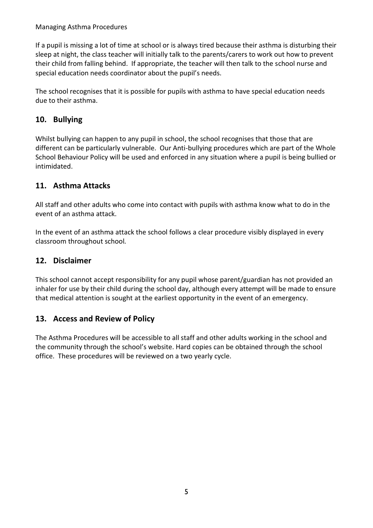If a pupil is missing a lot of time at school or is always tired because their asthma is disturbing their sleep at night, the class teacher will initially talk to the parents/carers to work out how to prevent their child from falling behind. If appropriate, the teacher will then talk to the school nurse and special education needs coordinator about the pupil's needs.

The school recognises that it is possible for pupils with asthma to have special education needs due to their asthma.

# <span id="page-8-0"></span>**10. Bullying**

Whilst bullying can happen to any pupil in school, the school recognises that those that are different can be particularly vulnerable. Our Anti-bullying procedures which are part of the Whole School Behaviour Policy will be used and enforced in any situation where a pupil is being bullied or intimidated.

### <span id="page-8-1"></span>**11. Asthma Attacks**

All staff and other adults who come into contact with pupils with asthma know what to do in the event of an asthma attack.

In the event of an asthma attack the school follows a clear procedure visibly displayed in every classroom throughout school*.*

### <span id="page-8-2"></span>**12. Disclaimer**

This school cannot accept responsibility for any pupil whose parent/guardian has not provided an inhaler for use by their child during the school day, although every attempt will be made to ensure that medical attention is sought at the earliest opportunity in the event of an emergency.

### <span id="page-8-3"></span>**13. Access and Review of Policy**

The Asthma Procedures will be accessible to all staff and other adults working in the school and the community through the school's website. Hard copies can be obtained through the school office. These procedures will be reviewed on a two yearly cycle.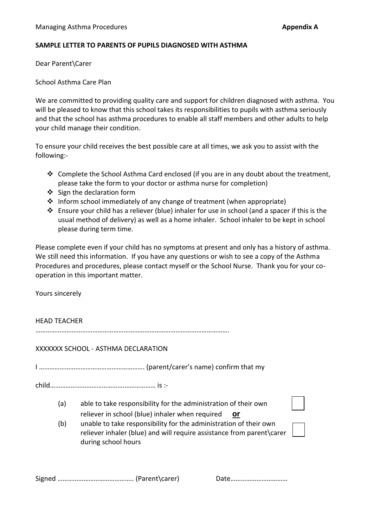#### **SAMPLE LETTER TO PARENTS OF PUPILS DIAGNOSED WITH ASTHMA**

Dear Parent\Carer

School Asthma Care Plan

We are committed to providing quality care and support for children diagnosed with asthma. You will be pleased to know that this school takes its responsibilities to pupils with asthma seriously and that the school has asthma procedures to enable all staff members and other adults to help your child manage their condition.

To ensure your child receives the best possible care at all times, we ask you to assist with the following:-

- $\clubsuit$  Complete the School Asthma Card enclosed (if you are in any doubt about the treatment, please take the form to your doctor or asthma nurse for completion)
- Sign the declaration form
- Inform school immediately of any change of treatment (when appropriate)
- Ensure your child has a reliever (blue) inhaler for use in school (and a spacer if this is the usual method of delivery) as well as a home inhaler. School inhaler to be kept in school please during term time.

Please complete even if your child has no symptoms at present and only has a history of asthma. We still need this information. If you have any questions or wish to see a copy of the Asthma Procedures and procedures, please contact myself or the School Nurse. Thank you for your cooperation in this important matter.

Yours sincerely

HEAD TEACHER

………………………………………………………………………………………………….

#### XXXXXXX SCHOOL - ASTHMA DECLARATION

I ……………………………………………………. (parent/carer's name) confirm that my

child…………………………………….……………… is :-

- (a) able to take responsibility for the administration of their own reliever in school (blue) inhaler when required **or**
- (b) unable to take responsibility for the administration of their own reliever inhaler (blue) and will require assistance from parent\carer during school hours

Date……………………………